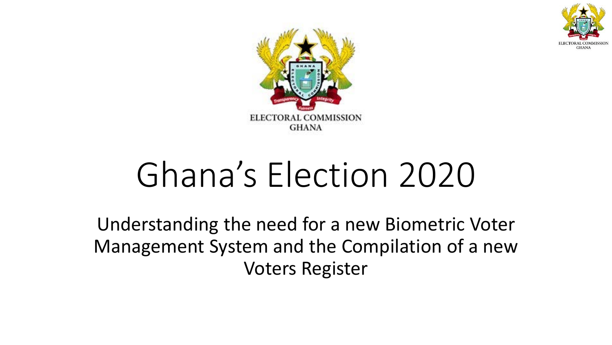



# Ghana's Election 2020

Understanding the need for a new Biometric Voter Management System and the Compilation of a new Voters Register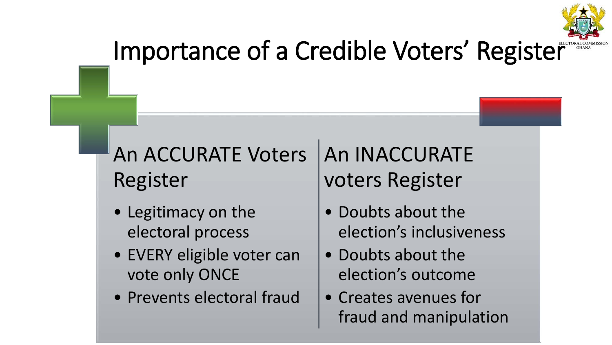

# Importance of a Credible Voters' Register

### An ACCURATE Voters Register

- Legitimacy on the electoral process
- EVERY eligible voter can vote only ONCE
- Prevents electoral fraud

### An INACCURATE voters Register

- Doubts about the election's inclusiveness
- Doubts about the election's outcome
- Creates avenues for fraud and manipulation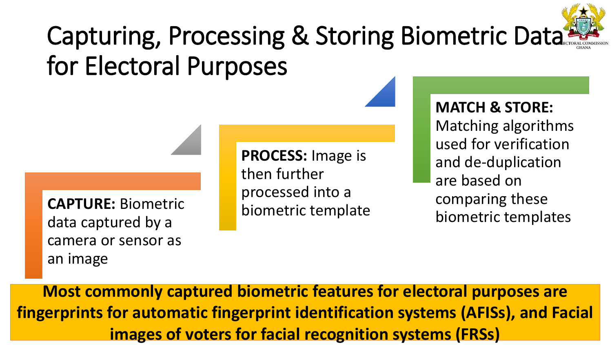# Capturing, Processing & Storing Biometric Data for Electoral Purposes

**CAPTURE:** Biometric data captured by a camera or sensor as an image

**PROCESS:** Image is then further processed into a biometric template

**MATCH & STORE:**  Matching algorithms used for verification and de-duplication are based on comparing these biometric templates

**Most commonly captured biometric features for electoral purposes are fingerprints for automatic fingerprint identification systems (AFISs), and Facial images of voters for facial recognition systems (FRSs)**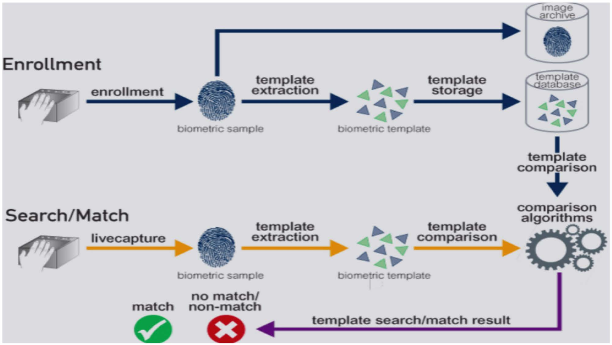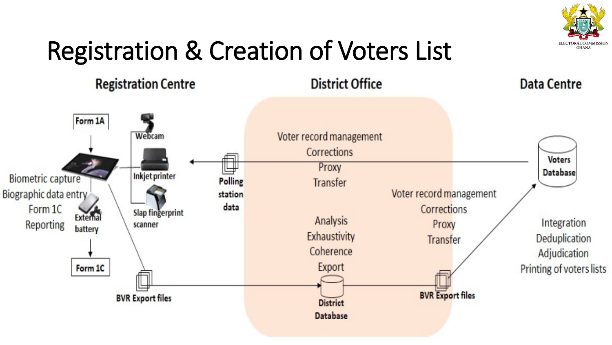

# Registration & Creation of Voters List

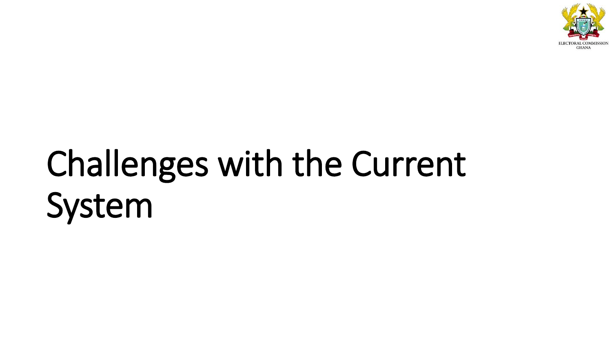

# Challenges with the Current System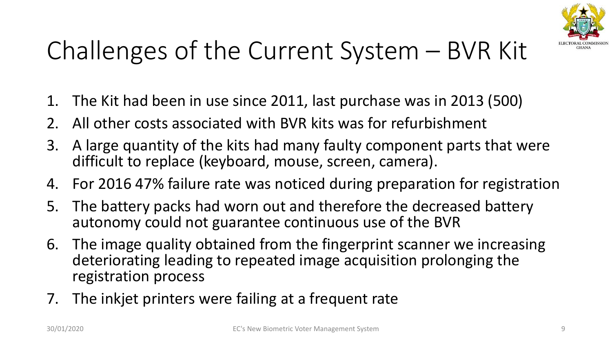

# Challenges of the Current System – BVR Kit

- 1. The Kit had been in use since 2011, last purchase was in 2013 (500)
- 2. All other costs associated with BVR kits was for refurbishment
- 3. A large quantity of the kits had many faulty component parts that were difficult to replace (keyboard, mouse, screen, camera).
- 4. For 2016 47% failure rate was noticed during preparation for registration
- 5. The battery packs had worn out and therefore the decreased battery autonomy could not guarantee continuous use of the BVR
- 6. The image quality obtained from the fingerprint scanner we increasing deteriorating leading to repeated image acquisition prolonging the registration process
- 7. The inkjet printers were failing at a frequent rate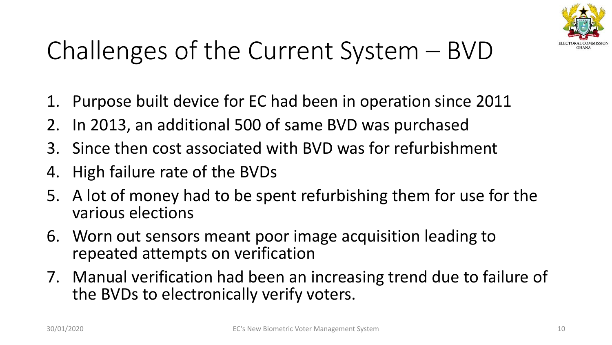

# Challenges of the Current System – BVD

- 1. Purpose built device for EC had been in operation since 2011
- 2. In 2013, an additional 500 of same BVD was purchased
- 3. Since then cost associated with BVD was for refurbishment
- 4. High failure rate of the BVDs
- 5. A lot of money had to be spent refurbishing them for use for the various elections
- 6. Worn out sensors meant poor image acquisition leading to repeated attempts on verification
- 7. Manual verification had been an increasing trend due to failure of the BVDs to electronically verify voters.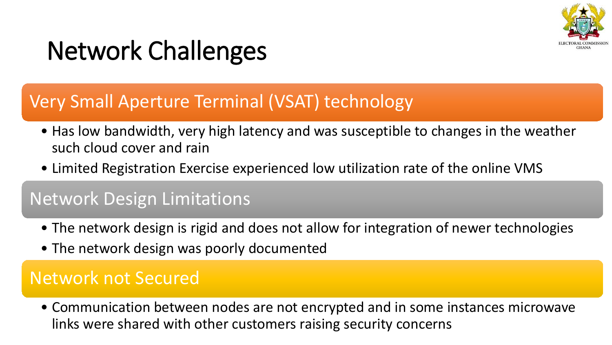

# Network Challenges

#### Very Small Aperture Terminal (VSAT) technology

- Has low bandwidth, very high latency and was susceptible to changes in the weather such cloud cover and rain
- Limited Registration Exercise experienced low utilization rate of the online VMS

#### Network Design Limitations

- The network design is rigid and does not allow for integration of newer technologies
- The network design was poorly documented

#### Network not Secured

• Communication between nodes are not encrypted and in some instances microwave links were shared with other customers raising security concerns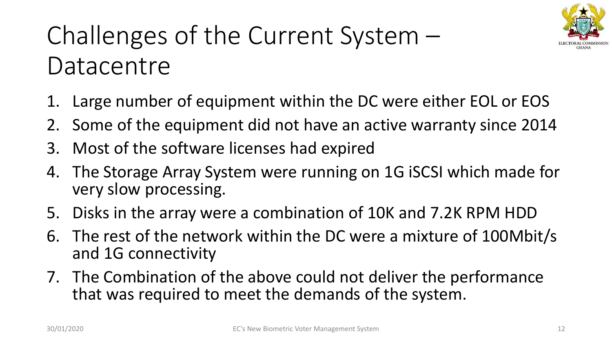

# Challenges of the Current System – **Datacentre**

- 1. Large number of equipment within the DC were either EOL or EOS
- 2. Some of the equipment did not have an active warranty since 2014
- 3. Most of the software licenses had expired
- 4. The Storage Array System were running on 1G iSCSI which made for very slow processing.
- 5. Disks in the array were a combination of 10K and 7.2K RPM HDD
- 6. The rest of the network within the DC were a mixture of 100Mbit/s and 1G connectivity
- 7. The Combination of the above could not deliver the performance that was required to meet the demands of the system.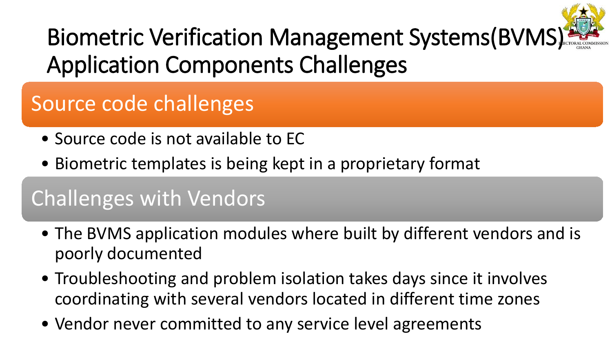

# Biometric Verification Management Systems(BVMS) Application Components Challenges

## Source code challenges

- Source code is not available to EC
- Biometric templates is being kept in a proprietary format

### Challenges with Vendors

- The BVMS application modules where built by different vendors and is poorly documented
- Troubleshooting and problem isolation takes days since it involves coordinating with several vendors located in different time zones
- Vendor never committed to any service level agreements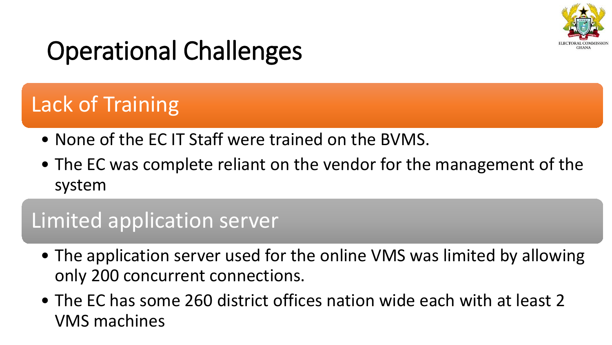

# Operational Challenges

### Lack of Training

- None of the EC IT Staff were trained on the BVMS.
- The EC was complete reliant on the vendor for the management of the system

#### Limited application server

- The application server used for the online VMS was limited by allowing only 200 concurrent connections.
- The EC has some 260 district offices nation wide each with at least 2 VMS machines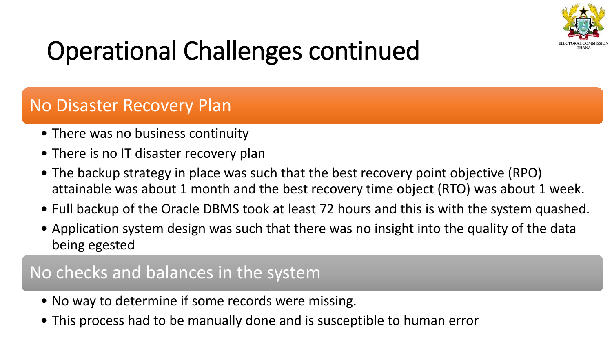

# Operational Challenges continued

#### No Disaster Recovery Plan

- There was no business continuity
- There is no IT disaster recovery plan
- The backup strategy in place was such that the best recovery point objective (RPO) attainable was about 1 month and the best recovery time object (RTO) was about 1 week.
- Full backup of the Oracle DBMS took at least 72 hours and this is with the system quashed.
- Application system design was such that there was no insight into the quality of the data being egested

#### No checks and balances in the system

- No way to determine if some records were missing.
- This process had to be manually done and is susceptible to human error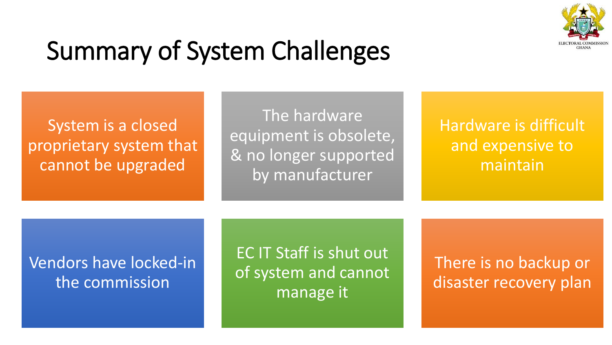

# Summary of System Challenges

System is a closed proprietary system that cannot be upgraded

The hardware equipment is obsolete, & no longer supported by manufacturer

Hardware is difficult and expensive to maintain

#### Vendors have locked-in the commission

EC IT Staff is shut out of system and cannot manage it

There is no backup or disaster recovery plan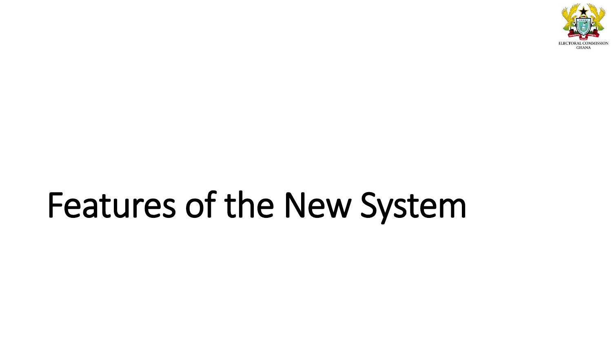

# Features of the New System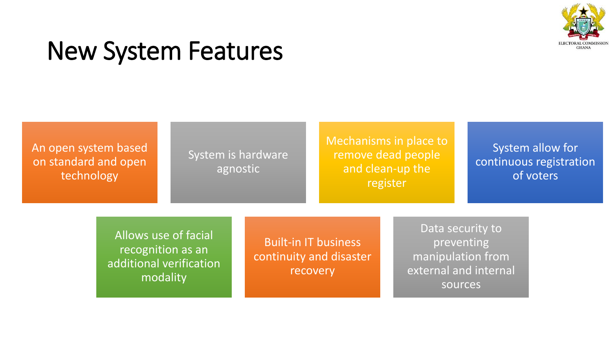

## New System Features

An open system based on standard and open technology

#### System is hardware agnostic

Mechanisms in place to remove dead people and clean-up the register

System allow for continuous registration of voters

Allows use of facial recognition as an additional verification modality

Built-in IT business continuity and disaster recovery

Data security to preventing manipulation from external and internal sources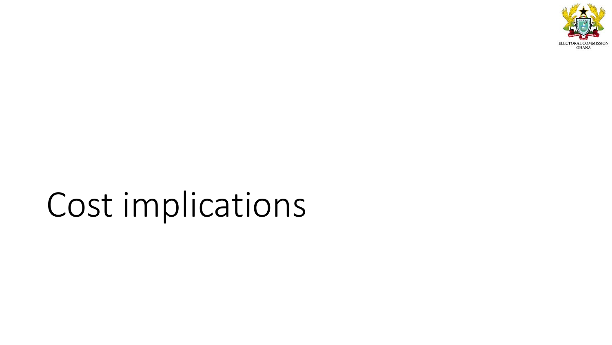

# Cost implications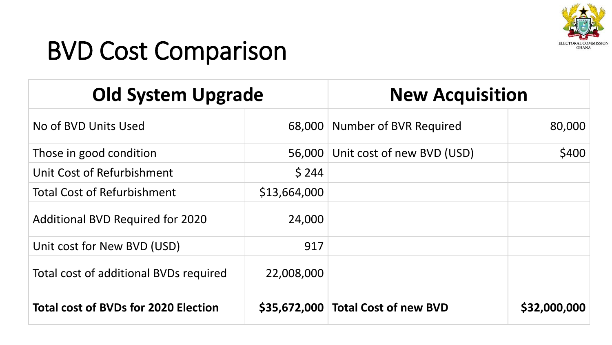

# BVD Cost Comparison

| <b>Old System Upgrade</b>                   |              | <b>New Acquisition</b>               |              |
|---------------------------------------------|--------------|--------------------------------------|--------------|
| No of BVD Units Used                        |              | 68,000 Number of BVR Required        | 80,000       |
| Those in good condition                     | 56,000       | Unit cost of new BVD (USD)           | \$400        |
| Unit Cost of Refurbishment                  | \$244        |                                      |              |
| <b>Total Cost of Refurbishment</b>          | \$13,664,000 |                                      |              |
| <b>Additional BVD Required for 2020</b>     | 24,000       |                                      |              |
| Unit cost for New BVD (USD)                 | 917          |                                      |              |
| Total cost of additional BVDs required      | 22,008,000   |                                      |              |
| <b>Total cost of BVDs for 2020 Election</b> |              | \$35,672,000   Total Cost of new BVD | \$32,000,000 |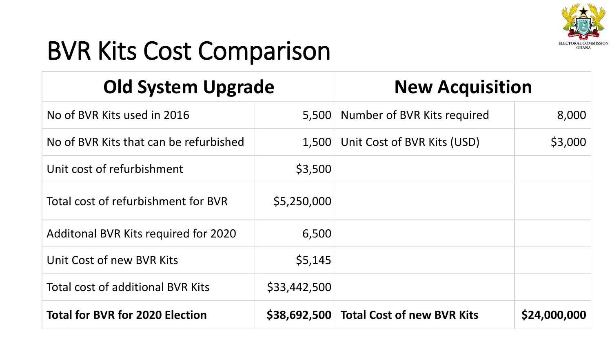

# BVR Kits Cost Comparison

| <b>Old System Upgrade</b>              |              | <b>New Acquisition</b>                  |              |
|----------------------------------------|--------------|-----------------------------------------|--------------|
| No of BVR Kits used in 2016            | 5,500        | Number of BVR Kits required             | 8,000        |
| No of BVR Kits that can be refurbished | 1,500        | Unit Cost of BVR Kits (USD)             | \$3,000      |
| Unit cost of refurbishment             | \$3,500      |                                         |              |
| Total cost of refurbishment for BVR    | \$5,250,000  |                                         |              |
| Additonal BVR Kits required for 2020   | 6,500        |                                         |              |
| Unit Cost of new BVR Kits              | \$5,145      |                                         |              |
| Total cost of additional BVR Kits      | \$33,442,500 |                                         |              |
| <b>Total for BVR for 2020 Election</b> |              | \$38,692,500 Total Cost of new BVR Kits | \$24,000,000 |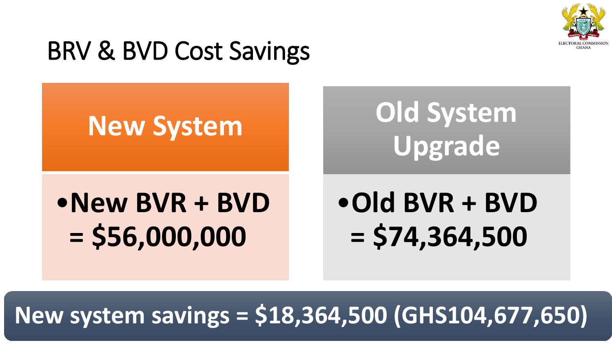

# BRV & BVD Cost Savings

# **New System**

# **Old System Upgrade**

•**New BVR + BVD = \$56,000,000**

# •**Old BVR + BVD = \$74,364,500**

## **New system savings = \$18,364,500 (GHS104,677,650)**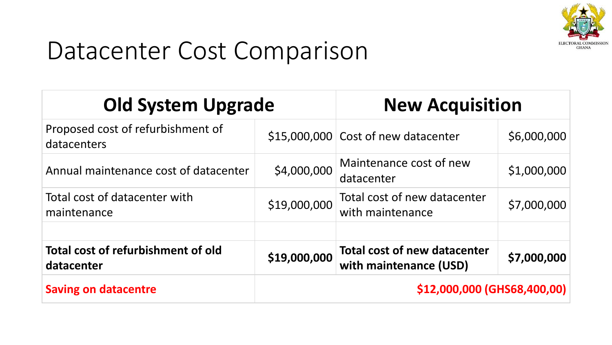

## Datacenter Cost Comparison

| <b>Old System Upgrade</b>                        |                             | <b>New Acquisition</b>                                        |             |
|--------------------------------------------------|-----------------------------|---------------------------------------------------------------|-------------|
| Proposed cost of refurbishment of<br>datacenters |                             | $$15,000,000$ Cost of new datacenter                          | \$6,000,000 |
| Annual maintenance cost of datacenter            | \$4,000,000                 | Maintenance cost of new<br>datacenter                         | \$1,000,000 |
| Total cost of datacenter with<br>maintenance     | \$19,000,000                | Total cost of new datacenter<br>with maintenance              | \$7,000,000 |
| Total cost of refurbishment of old<br>datacenter | \$19,000,000                | <b>Total cost of new datacenter</b><br>with maintenance (USD) | \$7,000,000 |
| <b>Saving on datacentre</b>                      | \$12,000,000 (GHS68,400,00) |                                                               |             |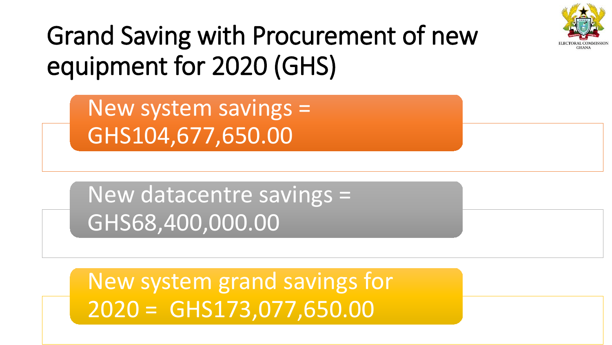

# Grand Saving with Procurement of new equipment for 2020 (GHS)

New system savings = GHS104,677,650.00

New datacentre savings = GHS68,400,000.00

New system grand savings for 2020 = GHS173,077,650.00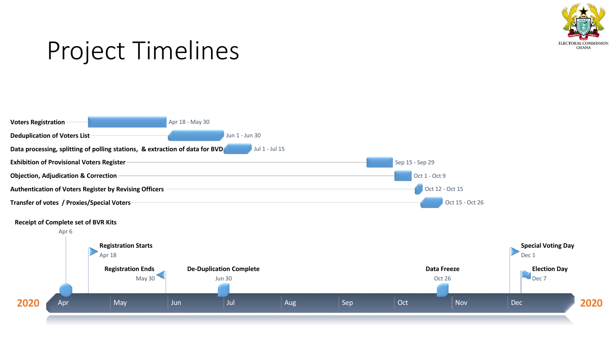

## Project Timelines

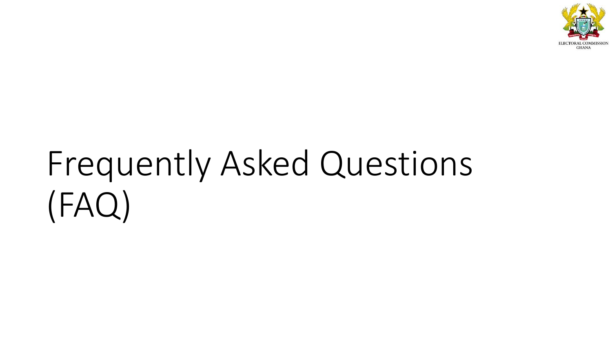

# Frequently Asked Questions (FAQ)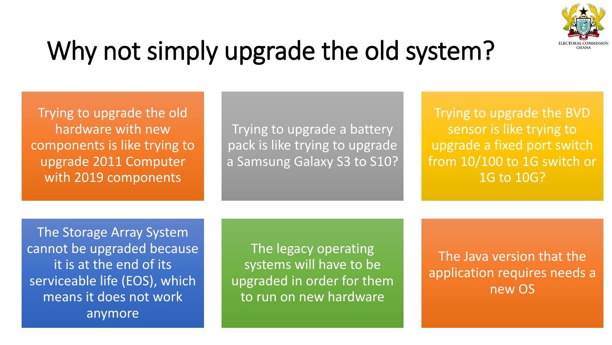

# Why not simply upgrade the old system?

Trying to upgrade the old hardware with new components is like trying to upgrade 2011 Computer with 2019 components

Trying to upgrade a battery pack is like trying to upgrade a Samsung Galaxy S3 to S10?

Trying to upgrade the BVD sensor is like trying to upgrade a fixed port switch from 10/100 to 1G switch or 1G to 10G?

The Storage Array System cannot be upgraded because it is at the end of its serviceable life (EOS), which means it does not work anymore

The legacy operating systems will have to be upgraded in order for them to run on new hardware

The Java version that the application requires needs a new OS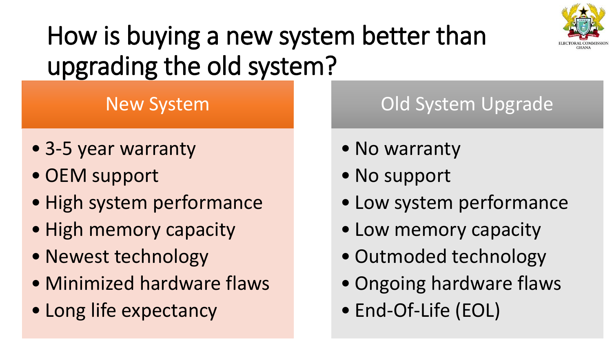

# How is buying a new system better than upgrading the old system?

#### New System

- 3-5 year warranty
- OEM support
- High system performance
- High memory capacity
- Newest technology
- Minimized hardware flaws
- Long life expectancy

### Old System Upgrade

- No warranty
- No support
- Low system performance
- Low memory capacity
- Outmoded technology
- Ongoing hardware flaws
- End-Of-Life (EOL)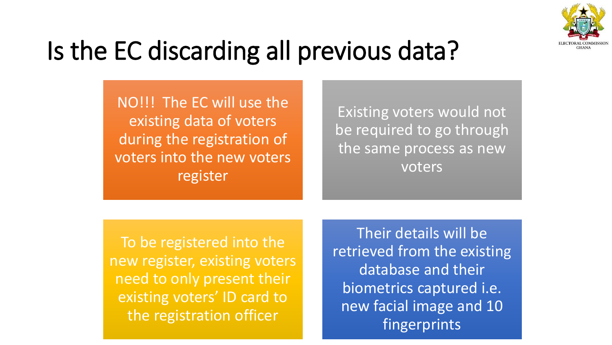

# Is the EC discarding all previous data?

NO!!! The EC will use the existing data of voters during the registration of voters into the new voters register

Existing voters would not be required to go through the same process as new voters

To be registered into the new register, existing voters need to only present their existing voters' ID card to the registration officer

Their details will be retrieved from the existing database and their biometrics captured i.e. new facial image and 10 fingerprints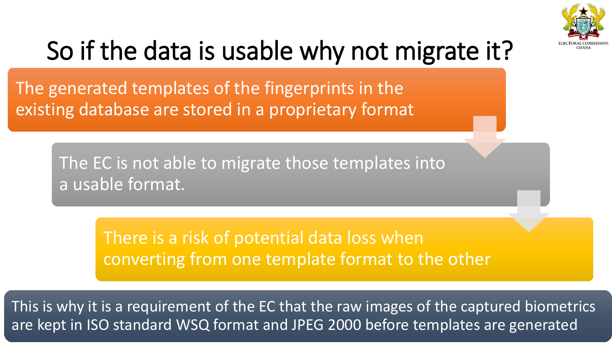

# So if the data is usable why not migrate it?

The generated templates of the fingerprints in the existing database are stored in a proprietary format

> The EC is not able to migrate those templates into a usable format.

> > There is a risk of potential data loss when converting from one template format to the other

This is why it is a requirement of the EC that the raw images of the captured biometrics are kept in ISO standard WSQ format and JPEG 2000 before templates are generated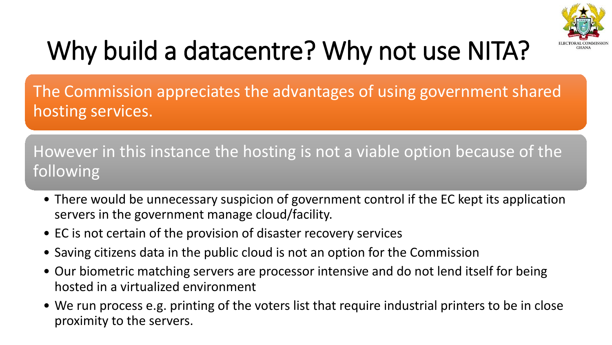

# Why build a datacentre? Why not use NITA?

The Commission appreciates the advantages of using government shared hosting services.

However in this instance the hosting is not a viable option because of the following

- There would be unnecessary suspicion of government control if the EC kept its application servers in the government manage cloud/facility.
- EC is not certain of the provision of disaster recovery services
- Saving citizens data in the public cloud is not an option for the Commission
- Our biometric matching servers are processor intensive and do not lend itself for being hosted in a virtualized environment
- We run process e.g. printing of the voters list that require industrial printers to be in close proximity to the servers.